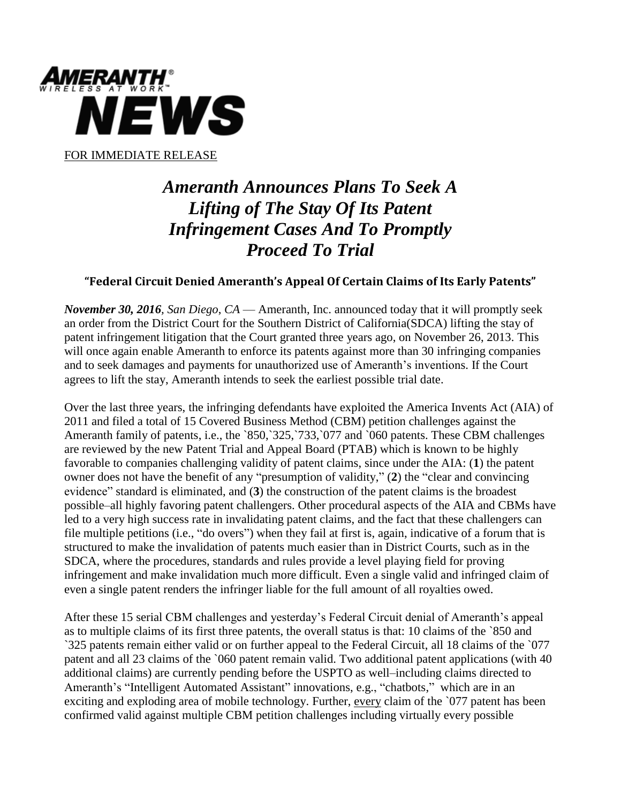

## *Ameranth Announces Plans To Seek A Lifting of The Stay Of Its Patent Infringement Cases And To Promptly Proceed To Trial*

## **"Federal Circuit Denied Ameranth's Appeal Of Certain Claims of Its Early Patents"**

*November 30, 2016, San Diego*, *CA* — Ameranth, Inc. announced today that it will promptly seek an order from the District Court for the Southern District of California(SDCA) lifting the stay of patent infringement litigation that the Court granted three years ago, on November 26, 2013. This will once again enable Ameranth to enforce its patents against more than 30 infringing companies and to seek damages and payments for unauthorized use of Ameranth's inventions. If the Court agrees to lift the stay, Ameranth intends to seek the earliest possible trial date.

Over the last three years, the infringing defendants have exploited the America Invents Act (AIA) of 2011 and filed a total of 15 Covered Business Method (CBM) petition challenges against the Ameranth family of patents, i.e., the `850,`325,`733,`077 and `060 patents. These CBM challenges are reviewed by the new Patent Trial and Appeal Board (PTAB) which is known to be highly favorable to companies challenging validity of patent claims, since under the AIA: (**1**) the patent owner does not have the benefit of any "presumption of validity," (**2**) the "clear and convincing evidence" standard is eliminated, and (**3**) the construction of the patent claims is the broadest possible–all highly favoring patent challengers. Other procedural aspects of the AIA and CBMs have led to a very high success rate in invalidating patent claims, and the fact that these challengers can file multiple petitions (i.e., "do overs") when they fail at first is, again, indicative of a forum that is structured to make the invalidation of patents much easier than in District Courts, such as in the SDCA, where the procedures, standards and rules provide a level playing field for proving infringement and make invalidation much more difficult. Even a single valid and infringed claim of even a single patent renders the infringer liable for the full amount of all royalties owed.

After these 15 serial CBM challenges and yesterday's Federal Circuit denial of Ameranth's appeal as to multiple claims of its first three patents, the overall status is that: 10 claims of the `850 and `325 patents remain either valid or on further appeal to the Federal Circuit, all 18 claims of the `077 patent and all 23 claims of the `060 patent remain valid. Two additional patent applications (with 40 additional claims) are currently pending before the USPTO as well–including claims directed to Ameranth's "Intelligent Automated Assistant" innovations, e.g., "chatbots," which are in an exciting and exploding area of mobile technology. Further, every claim of the `077 patent has been confirmed valid against multiple CBM petition challenges including virtually every possible